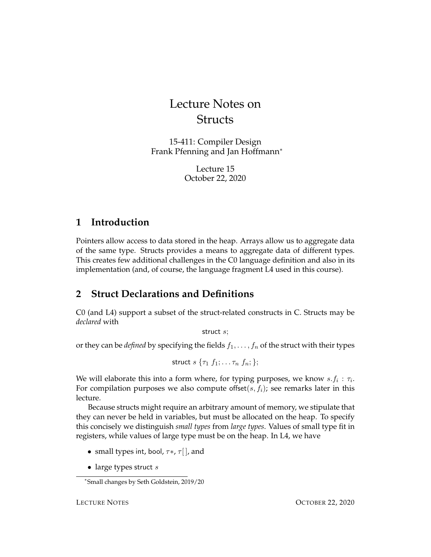# Lecture Notes on **Structs**

15-411: Compiler Design Frank Pfenning and Jan Hoffmann<sup>∗</sup>

> Lecture 15 October 22, 2020

## **1 Introduction**

Pointers allow access to data stored in the heap. Arrays allow us to aggregate data of the same type. Structs provides a means to aggregate data of different types. This creates few additional challenges in the C0 language definition and also in its implementation (and, of course, the language fragment L4 used in this course).

# <span id="page-0-0"></span>**2 Struct Declarations and Definitions**

C0 (and L4) support a subset of the struct-related constructs in C. Structs may be *declared* with

struct s;

or they can be *defined* by specifying the fields  $f_1, \ldots, f_n$  of the struct with their types

$$
\mathsf{struct}\; s\; \{\tau_1\; f_1; \ldots \tau_n\; f_n; \};
$$

We will elaborate this into a form where, for typing purposes, we know  $s.f_i : \tau_i$ . For compilation purposes we also compute offset $(s, f_i)$ ; see remarks later in this lecture.

Because structs might require an arbitrary amount of memory, we stipulate that they can never be held in variables, but must be allocated on the heap. To specify this concisely we distinguish *small types* from *large types*. Values of small type fit in registers, while values of large type must be on the heap. In L4, we have

- small types int, bool,  $\tau^*$ ,  $\tau$ [], and
- large types struct  $s$

<sup>∗</sup> Small changes by Seth Goldstein, 2019/20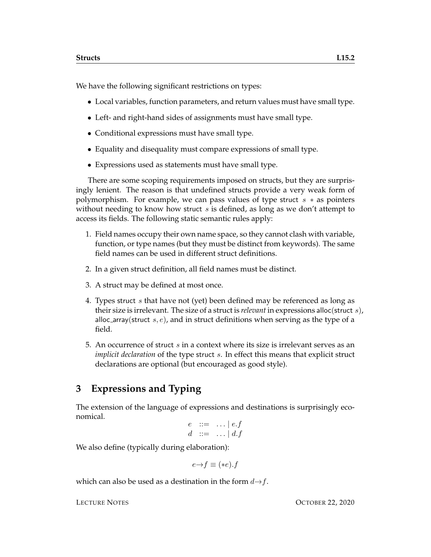We have the following significant restrictions on types:

- Local variables, function parameters, and return values must have small type.
- Left- and right-hand sides of assignments must have small type.
- Conditional expressions must have small type.
- Equality and disequality must compare expressions of small type.
- Expressions used as statements must have small type.

There are some scoping requirements imposed on structs, but they are surprisingly lenient. The reason is that undefined structs provide a very weak form of polymorphism. For example, we can pass values of type struct  $s * a$  pointers without needing to know how struct  $s$  is defined, as long as we don't attempt to access its fields. The following static semantic rules apply:

- 1. Field names occupy their own name space, so they cannot clash with variable, function, or type names (but they must be distinct from keywords). The same field names can be used in different struct definitions.
- 2. In a given struct definition, all field names must be distinct.
- 3. A struct may be defined at most once.
- 4. Types struct s that have not (yet) been defined may be referenced as long as their size is irrelevant. The size of a struct is *relevant* in expressions alloc(struct s), alloc array(struct  $s, e$ ), and in struct definitions when serving as the type of a field.
- 5. An occurrence of struct s in a context where its size is irrelevant serves as an *implicit declaration* of the type struct s. In effect this means that explicit struct declarations are optional (but encouraged as good style).

## **3 Expressions and Typing**

The extension of the language of expressions and destinations is surprisingly economical.

$$
e \quad ::= \quad \dots \mid e.f
$$
  

$$
d \quad ::= \quad \dots \mid d.f
$$

We also define (typically during elaboration):

$$
e \rightarrow f \equiv (*e).f
$$

which can also be used as a destination in the form  $d \rightarrow f$ .

LECTURE NOTES **OCTOBER 22, 2020**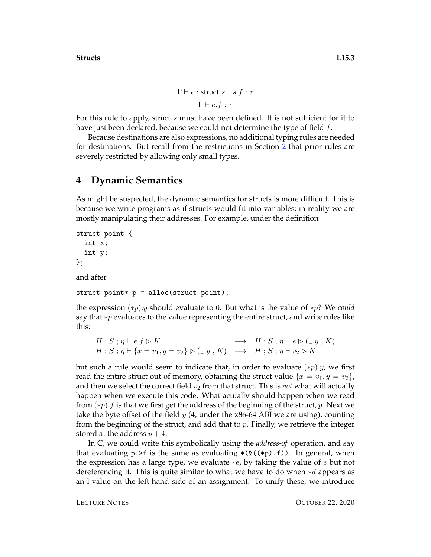$$
\frac{\Gamma \vdash e : \text{struct } s \quad s.f : \tau}{\Gamma \vdash e.f : \tau}
$$

For this rule to apply, struct s must have been defined. It is not sufficient for it to have just been declared, because we could not determine the type of field f.

Because destinations are also expressions, no additional typing rules are needed for destinations. But recall from the restrictions in Section [2](#page-0-0) that prior rules are severely restricted by allowing only small types.

#### **4 Dynamic Semantics**

As might be suspected, the dynamic semantics for structs is more difficult. This is because we write programs as if structs would fit into variables; in reality we are mostly manipulating their addresses. For example, under the definition

```
struct point {
  int x;
  int y;
};
and after
```

```
struct point* p = alloc(struct point);
```
the expression (∗p).y should evaluate to 0. But what is the value of ∗p? We *could* say that ∗p evaluates to the value representing the entire struct, and write rules like this:

$$
\begin{array}{lcl} H\mathrel{;} S\mathrel{;} \eta\vdash e.f\rhd K\\ H\mathrel{;} S\mathrel{;} \eta\vdash \{x=v_1,y=v_2\}\rhd(\_,y\ ,K)\end{array} \longrightarrow\begin{array}{lcl} H\mathrel{;} S\mathrel{;} \eta\vdash e\rhd(\_,y\ ,K)\\ \longrightarrow& H\mathrel{;} S\mathrel{;} \eta\vdash v_2\rhd K\end{array}
$$

but such a rule would seem to indicate that, in order to evaluate  $(*p).y$ , we first read the entire struct out of memory, obtaining the struct value  $\{x = v_1, y = v_2\}$ , and then we select the correct field  $v_2$  from that struct. This is *not* what will actually happen when we execute this code. What actually should happen when we read from  $(*p).f$  is that we first get the address of the beginning of the struct, p. Next we take the byte offset of the field y  $(4, \text{ under the x86-64 ABI we are using})$ , counting from the beginning of the struct, and add that to  $p$ . Finally, we retrieve the integer stored at the address  $p + 4$ .

In C, we could write this symbolically using the *address-of* operation, and say that evaluating  $p\rightarrow f$  is the same as evaluating  $*(\&((\ast p).f))$ . In general, when the expression has a large type, we evaluate  $*e$ , by taking the value of e but not dereferencing it. This is quite similar to what we have to do when ∗d appears as an l-value on the left-hand side of an assignment. To unify these, we introduce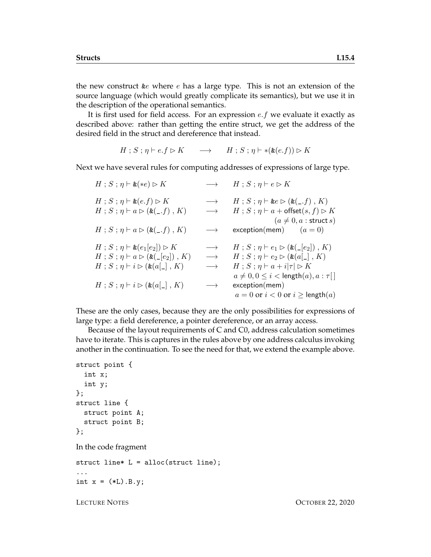the new construct  $\&e$  where  $e$  has a large type. This is not an extension of the source language (which would greatly complicate its semantics), but we use it in the description of the operational semantics.

It is first used for field access. For an expression  $e.f$  we evaluate it exactly as described above: rather than getting the entire struct, we get the address of the desired field in the struct and dereference that instead.

$$
H; S; \eta \vdash e.f \rhd K \longrightarrow H; S; \eta \vdash *(\& (e.f)) \rhd K
$$

Next we have several rules for computing addresses of expressions of large type.

 $H : S : \eta \vdash \&(*e) \triangleright K \longrightarrow H : S : \eta \vdash e \triangleright K$  $H$ ;  $S$ ;  $\eta \vdash \& (e.f) \triangleright K$   $\longrightarrow$   $H$ ;  $S$ ;  $\eta \vdash \& e \triangleright (\& (\_, f) , K)$  $H : S : \eta \vdash a \rhd (\&\underline{\ } (f), K) \longrightarrow H : S : \eta \vdash a + \text{offset}(s, f) \rhd K$  $(a \neq 0, a :$  struct s)  $H : S : \eta \vdash a \triangleright (\&(c, f), K) \longrightarrow$  exception(mem)  $(a = 0)$  $H$ ;  $S$ ;  $\eta \vdash \& (e_1[e_2]) \triangleright K \longrightarrow H$ ;  $S$ ;  $\eta \vdash e_1 \triangleright (\& (e_2])$ ,  $K$ )  $H : S : \eta \vdash a \rhd (\&(\_ [e_2]) , K) \longrightarrow H : S : \eta \vdash e_2 \rhd (\&(\alpha \ulcorner), K)$  $H$ ;  $S$ ;  $\eta$   $\vdash$   $i \triangleright (\& (a[\_], K) \longrightarrow H$ ;  $S$ ;  $\eta$   $\vdash$   $a + i|\tau| \triangleright K$  $a \neq 0, 0 \leq i <$ length $(a), a : \tau$ []  $H : S : \eta \vdash i \rhd (\& (a[\_], K) \longrightarrow \text{exception}(mem))$  $a = 0$  or  $i < 0$  or  $i >$  length $(a)$ 

These are the only cases, because they are the only possibilities for expressions of large type: a field dereference, a pointer dereference, or an array access.

Because of the layout requirements of C and C0, address calculation sometimes have to iterate. This is captures in the rules above by one address calculus invoking another in the continuation. To see the need for that, we extend the example above.

```
struct point {
  int x;
  int y;
};
struct line {
  struct point A;
  struct point B;
};
In the code fragment
struct line* L = alloc(struct line);
...
```
int  $x = (*L) . B . y;$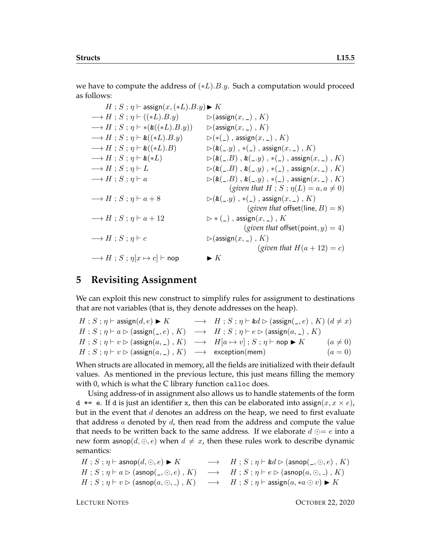we have to compute the address of  $(*L).B.y.$  Such a computation would proceed as follows:

 $H : S : \eta \vdash \text{assign}(x,(*L).B.y) \blacktriangleright K$  $\longrightarrow H$ ;  $S$ ;  $\eta \vdash ((*L).B.y) \qquad \qquad \triangleright (\text{assign}(x, \_), K)$  $\longrightarrow H$ ;  $S$ ;  $\eta \vdash *(*((*L).B.y))$   $\triangleright$  (assign $(x, \_)$ , K)  $\longrightarrow H$ ;  $S$ ;  $\eta \vdash \& ((*L).B.y)$   $\longrightarrow$   $(*(\_)$ , assign $(x, \_)$ ,  $K)$  $\longrightarrow H$ ;  $S$ ;  $\eta \vdash \& ((*L).B)$   $\triangleright (\& (\_, y)$ ,  $*(\_)$ , assign $(x, \_)$ , K)  $\longrightarrow H$ ;  $S$ ;  $\eta \vdash \&(*L)$   $\triangleright (\&(\_,B)$ ,  $\&(\_,y)$ ,  $\ast(\_)$ , assign $(x, \_)$ ,  $K)$  $\longrightarrow H$ ;  $S$ ;  $\eta \vdash L$   $\longrightarrow$   $\triangleright$   $(\&(\_,B)$ ,  $\&(\_,y)$ ,  $\ast$   $(\_)$ ,  $\longrightarrow$   $\infty$   $(K)$  $\longrightarrow H$ ;  $S$ ;  $\eta \vdash a$   $\longrightarrow$   $\triangleright$   $(\&(\_,B)$ ,  $\&(\_,y)$ ,  $\ast$   $(\_)$ ,  $\longrightarrow$   $\to$   $\infty$ (*given that*  $H$ ;  $S$ ;  $\eta(L) = a, a \neq 0$ )  $\longrightarrow H$ ;  $S$ ;  $\eta \vdash a + 8$   $\qquad \qquad \rhd (\&(-y)$ ,  $\ast$ (\_), assign $(x, \_)$ , K) (*given that* offset(line,  $B$ ) = 8)  $\longrightarrow H$ ;  $S$ ;  $\eta \vdash a + 12$   $\longrightarrow$   $\downarrow$   $\downarrow$ ), assign $(x, \_)$ ,  $K$ (*given that* offset(point,  $y$ ) = 4)  $\longrightarrow H$ ;  $S$ ;  $\eta \vdash c$   $\triangleright$  (assign(x, \_), K) (*given that*  $H(a+12) = c$ )  $\longrightarrow H$ ;  $S$ ;  $\eta[x \mapsto c]$   $\vdash$  nop  $\blacktriangleright K$ 

## **5 Revisiting Assignment**

We can exploit this new construct to simplify rules for assignment to destinations that are not variables (that is, they denote addresses on the heap).

| $H$ ; $S$ ; $\eta$ $\vdash$ assign $(d, e) \blacktriangleright K$                                                                   | $\longrightarrow$ $H$ ; $S$ ; $\eta \vdash \&d \rhd (\text{assign}(\_,e)$ , $K)$ $(d \neq x)$ |              |
|-------------------------------------------------------------------------------------------------------------------------------------|-----------------------------------------------------------------------------------------------|--------------|
| $H: S: \eta \vdash a \rhd (\text{assign}(\_, e), K) \rightarrow H: S: \eta \vdash e \rhd (\text{assign}(a, \_) , K)$                |                                                                                               |              |
| $H: S: \eta \vdash v \rhd (\text{assign}(a, \_), K) \rightarrow H[a \mapsto v]$ ; $S: \eta \vdash \text{nop} \blacktriangleright K$ |                                                                                               | $(a \neq 0)$ |
| $H: S: \eta \vdash v \rhd (\text{assign}(a, \_), K) \longrightarrow \text{exception}(mem)$                                          |                                                                                               | $(a = 0)$    |

When structs are allocated in memory, all the fields are initialized with their default values. As mentioned in the previous lecture, this just means filling the memory with 0, which is what the C library function calloc does.

Using address-of in assignment also allows us to handle statements of the form d  $*=$  e. If d is just an identifier x, then this can be elaborated into assign( $x, x \times e$ ), but in the event that  $d$  denotes an address on the heap, we need to first evaluate that address  $a$  denoted by  $d$ , then read from the address and compute the value that needs to be written back to the same address. If we elaborate  $d \odot = e$  into a new form asnop $(d, \odot, e)$  when  $d \neq x$ , then these rules work to describe dynamic semantics:

```
H : S : \eta \vdash \mathsf{asnop}(d, \odot, e) \blacktriangleright K \longrightarrow H : S : \eta \vdash \& d \triangleright (\mathsf{asnop}(\_, \odot, e) , K)H : S : \eta \vdash a \rhd (\text{asnop}(\_, \odot, e) , K) \longrightarrow H : S : \eta \vdash e \rhd (\text{asnop}(a, \odot, \_) , K)H : S : \eta \vdash v \rhd (\text{asnop}(a, \odot, \_) , K) \longrightarrow H : S : \eta \vdash \text{assign}(a, *a \odot v) \blacktriangleright K
```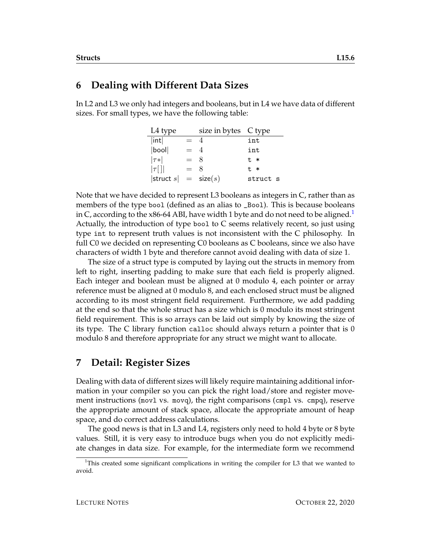## **6 Dealing with Different Data Sizes**

In L2 and L3 we only had integers and booleans, but in L4 we have data of different sizes. For small types, we have the following table:

| L <sub>4</sub> type       |       | size in bytes C type |          |
|---------------------------|-------|----------------------|----------|
| int                       | $= 4$ |                      | int      |
| bool                      | $= 4$ |                      | int      |
| $ \tau* $                 | $=$ 8 |                      | $t$ $*$  |
| $ \tau$ []                | $= 8$ |                      | $t$ $*$  |
| $ $ struct $s  =$ size(s) |       |                      | struct s |

Note that we have decided to represent L3 booleans as integers in C, rather than as members of the type bool (defined as an alias to \_Bool). This is because booleans in C, according to the x86-64 ABI, have width [1](#page-5-0) byte and do not need to be aligned.<sup>1</sup> Actually, the introduction of type bool to C seems relatively recent, so just using type int to represent truth values is not inconsistent with the C philosophy. In full C0 we decided on representing C0 booleans as C booleans, since we also have characters of width 1 byte and therefore cannot avoid dealing with data of size 1.

The size of a struct type is computed by laying out the structs in memory from left to right, inserting padding to make sure that each field is properly aligned. Each integer and boolean must be aligned at 0 modulo 4, each pointer or array reference must be aligned at 0 modulo 8, and each enclosed struct must be aligned according to its most stringent field requirement. Furthermore, we add padding at the end so that the whole struct has a size which is 0 modulo its most stringent field requirement. This is so arrays can be laid out simply by knowing the size of its type. The C library function calloc should always return a pointer that is 0 modulo 8 and therefore appropriate for any struct we might want to allocate.

# **7 Detail: Register Sizes**

Dealing with data of different sizes will likely require maintaining additional information in your compiler so you can pick the right load/store and register movement instructions (movl vs. movq), the right comparisons (cmpl vs. cmpq), reserve the appropriate amount of stack space, allocate the appropriate amount of heap space, and do correct address calculations.

The good news is that in L3 and L4, registers only need to hold 4 byte or 8 byte values. Still, it is very easy to introduce bugs when you do not explicitly mediate changes in data size. For example, for the intermediate form we recommend

<span id="page-5-0"></span> $1$ This created some significant complications in writing the compiler for L3 that we wanted to avoid.